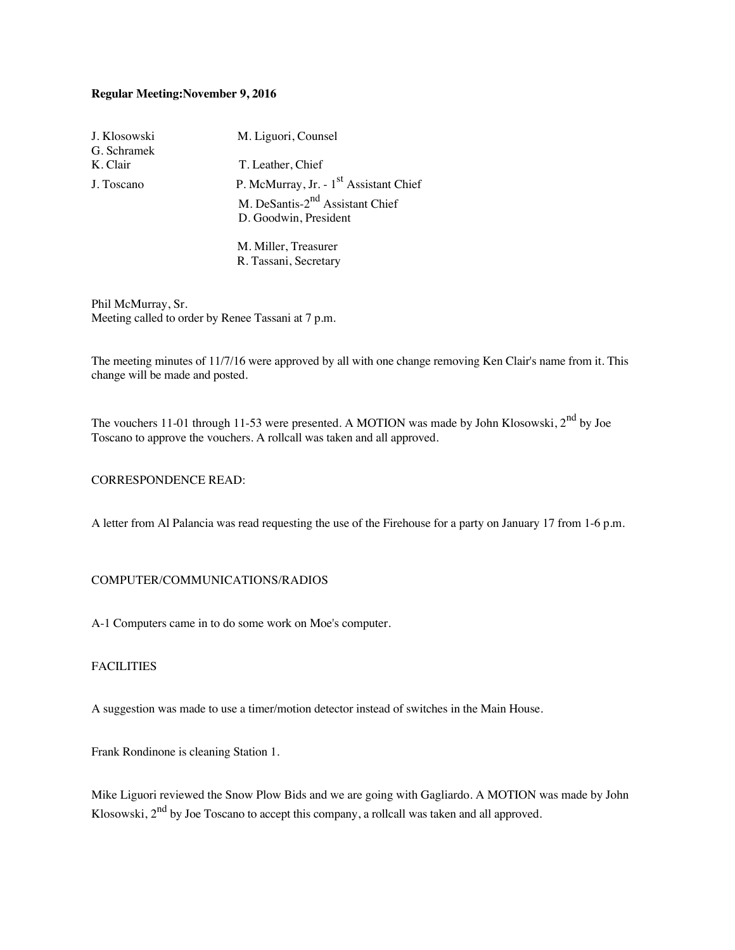# **Regular Meeting:November 9, 2016**

| J. Klosowski | M. Liguori, Counsel                                |
|--------------|----------------------------------------------------|
| G. Schramek  |                                                    |
| K. Clair     | T. Leather, Chief                                  |
| J. Toscano   | P. McMurray, Jr. - 1 <sup>st</sup> Assistant Chief |
|              | M. DeSantis-2 <sup>nd</sup> Assistant Chief        |
|              | D. Goodwin, President                              |
|              |                                                    |
|              | M. Miller, Treasurer                               |

R. Tassani, Secretary

Phil McMurray, Sr. Meeting called to order by Renee Tassani at 7 p.m.

The meeting minutes of 11/7/16 were approved by all with one change removing Ken Clair's name from it. This change will be made and posted.

The vouchers 11-01 through 11-53 were presented. A MOTION was made by John Klosowski, 2<sup>nd</sup> by Joe Toscano to approve the vouchers. A rollcall was taken and all approved.

### CORRESPONDENCE READ:

A letter from Al Palancia was read requesting the use of the Firehouse for a party on January 17 from 1-6 p.m.

# COMPUTER/COMMUNICATIONS/RADIOS

A-1 Computers came in to do some work on Moe's computer.

# FACILITIES

A suggestion was made to use a timer/motion detector instead of switches in the Main House.

Frank Rondinone is cleaning Station 1.

Mike Liguori reviewed the Snow Plow Bids and we are going with Gagliardo. A MOTION was made by John Klosowski,  $2<sup>nd</sup>$  by Joe Toscano to accept this company, a rollcall was taken and all approved.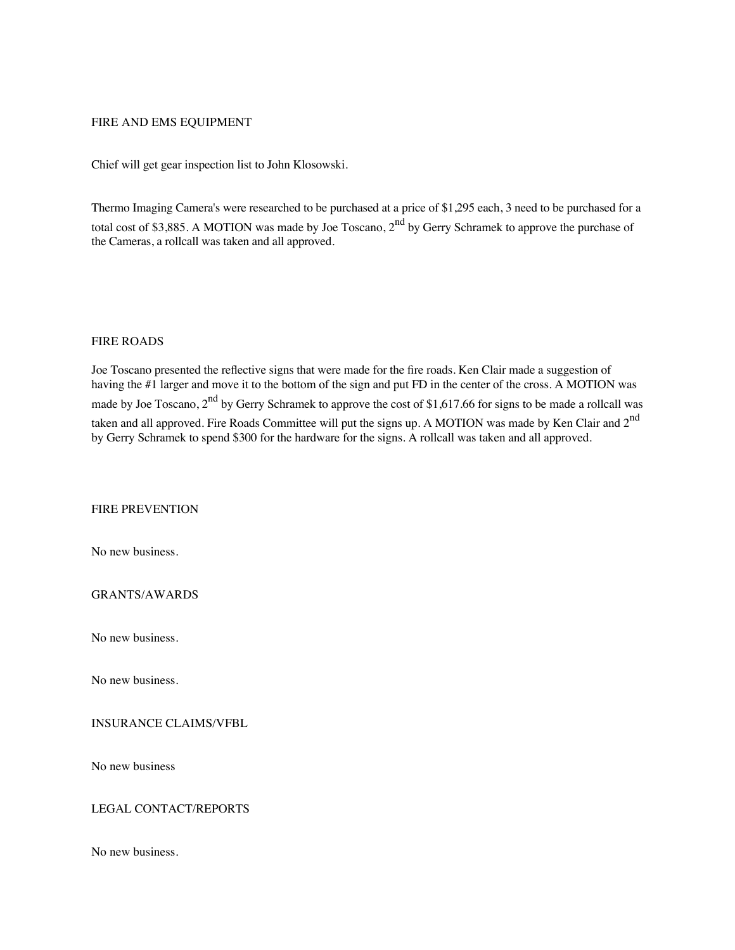#### FIRE AND EMS EQUIPMENT

Chief will get gear inspection list to John Klosowski.

Thermo Imaging Camera's were researched to be purchased at a price of \$1,295 each, 3 need to be purchased for a total cost of \$3,885. A MOTION was made by Joe Toscano, 2<sup>nd</sup> by Gerry Schramek to approve the purchase of the Cameras, a rollcall was taken and all approved.

#### FIRE ROADS

Joe Toscano presented the reflective signs that were made for the fire roads. Ken Clair made a suggestion of having the #1 larger and move it to the bottom of the sign and put FD in the center of the cross. A MOTION was made by Joe Toscano,  $2<sup>nd</sup>$  by Gerry Schramek to approve the cost of \$1,617.66 for signs to be made a rollcall was taken and all approved. Fire Roads Committee will put the signs up. A MOTION was made by Ken Clair and 2<sup>nd</sup> by Gerry Schramek to spend \$300 for the hardware for the signs. A rollcall was taken and all approved.

# FIRE PREVENTION

No new business.

GRANTS/AWARDS

No new business.

No new business.

INSURANCE CLAIMS/VFBL

No new business

### LEGAL CONTACT/REPORTS

No new business.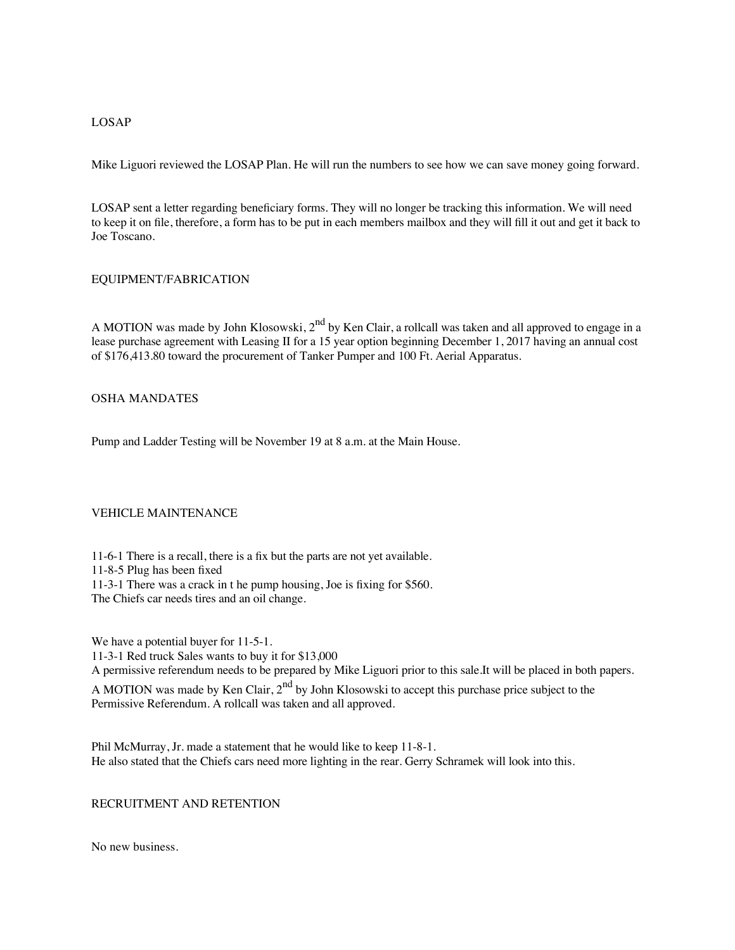### LOSAP

Mike Liguori reviewed the LOSAP Plan. He will run the numbers to see how we can save money going forward.

LOSAP sent a letter regarding beneficiary forms. They will no longer be tracking this information. We will need to keep it on file, therefore, a form has to be put in each members mailbox and they will fill it out and get it back to Joe Toscano.

#### EQUIPMENT/FABRICATION

A MOTION was made by John Klosowski, 2<sup>nd</sup> by Ken Clair, a rollcall was taken and all approved to engage in a lease purchase agreement with Leasing II for a 15 year option beginning December 1, 2017 having an annual cost of \$176,413.80 toward the procurement of Tanker Pumper and 100 Ft. Aerial Apparatus.

### OSHA MANDATES

Pump and Ladder Testing will be November 19 at 8 a.m. at the Main House.

### VEHICLE MAINTENANCE

11-6-1 There is a recall, there is a fix but the parts are not yet available.

11-8-5 Plug has been fixed

11-3-1 There was a crack in t he pump housing, Joe is fixing for \$560.

The Chiefs car needs tires and an oil change.

We have a potential buyer for 11-5-1. 11-3-1 Red truck Sales wants to buy it for \$13,000 A permissive referendum needs to be prepared by Mike Liguori prior to this sale.It will be placed in both papers. A MOTION was made by Ken Clair,  $2<sup>nd</sup>$  by John Klosowski to accept this purchase price subject to the

Permissive Referendum. A rollcall was taken and all approved.

Phil McMurray, Jr. made a statement that he would like to keep 11-8-1. He also stated that the Chiefs cars need more lighting in the rear. Gerry Schramek will look into this.

#### RECRUITMENT AND RETENTION

No new business.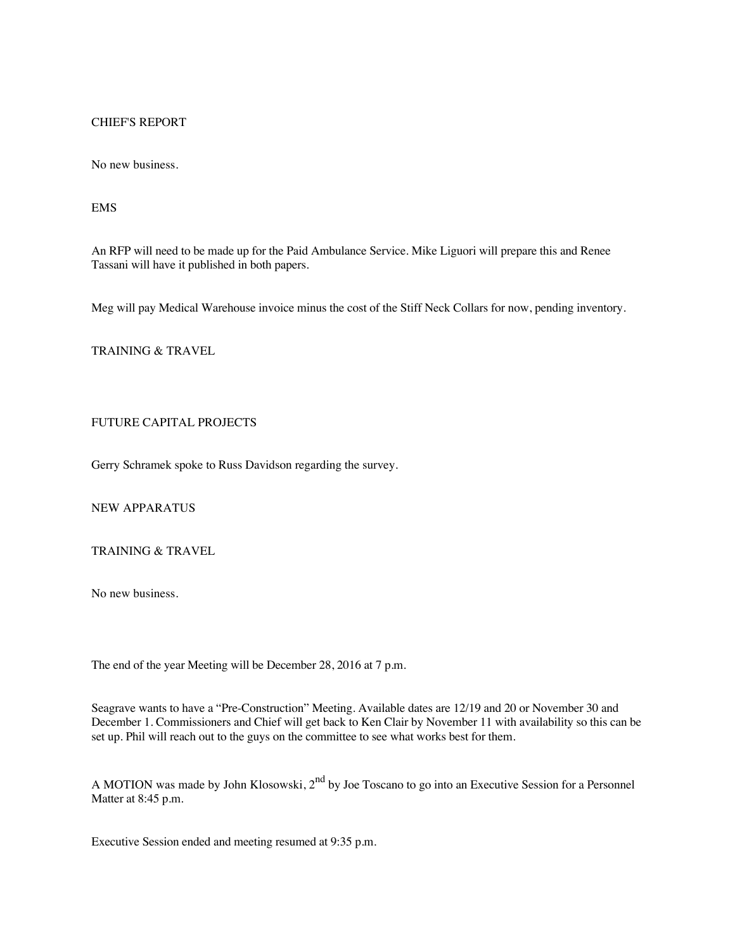### CHIEF'S REPORT

No new business.

# EMS

An RFP will need to be made up for the Paid Ambulance Service. Mike Liguori will prepare this and Renee Tassani will have it published in both papers.

Meg will pay Medical Warehouse invoice minus the cost of the Stiff Neck Collars for now, pending inventory.

# TRAINING & TRAVEL

# FUTURE CAPITAL PROJECTS

Gerry Schramek spoke to Russ Davidson regarding the survey.

NEW APPARATUS

TRAINING & TRAVEL

No new business.

The end of the year Meeting will be December 28, 2016 at 7 p.m.

Seagrave wants to have a "Pre-Construction" Meeting. Available dates are 12/19 and 20 or November 30 and December 1. Commissioners and Chief will get back to Ken Clair by November 11 with availability so this can be set up. Phil will reach out to the guys on the committee to see what works best for them.

A MOTION was made by John Klosowski, 2<sup>nd</sup> by Joe Toscano to go into an Executive Session for a Personnel Matter at 8:45 p.m.

Executive Session ended and meeting resumed at 9:35 p.m.